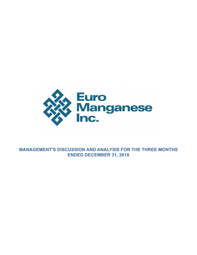

**MANAGEMENT'S DISCUSSION AND ANALYSIS FOR THE THREE MONTHS ENDED DECEMBER 31, 2018**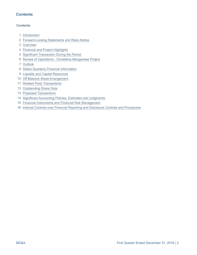# **Contents**

### **Contents**

- [Introduction](#page-2-0)
- [Forward-Looking Statements and Risks Notice](#page-2-0)
- [Overview](#page-4-0)
- [Financial and Project Highlights](#page-4-0)
- [Significant Transaction During the Period](#page-5-0)
- [Review of Operations Chvaletice Manganese Project](#page-5-0)
- [Outlook](#page-8-0)
- [Select Quarterly Financial Information](#page-9-0)
- [Liquidity and Capital Resources](#page-12-0)
- [Off Balance Sheet Arrangement](#page-13-0)
- [Related Party Transactions](#page-13-0)
- [Outstanding Share Data](#page-14-0)
- [Proposed Transactions](#page-14-0)
- [Significant Accounting Policies, Estimates and Judgments](#page-14-0)
- [Financial Instruments and Financial Risk Management](#page-14-0)
- [Internal Controls over Financial Reporting and Disclosure Controls and Procedures](#page-15-0)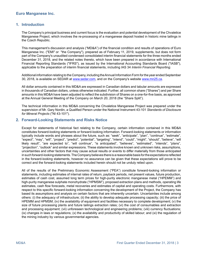### <span id="page-2-0"></span>**1. Introduction**

The Company's principal business and current focus is the evaluation and potential development of the Chvaletice Manganese Project, which involves the re-processing of a manganese deposit hosted in historic mine tailings in the Czech Republic.

This management's discussion and analysis ("MD&A") of the financial condition and results of operations of Euro Manganese Inc. ("EMI" or "the Company"), prepared as of February 11, 2019, supplements, but does not form part of the Company's unaudited condensed consolidated interim financial statements for the three months ended December 31, 2018, and the related notes thereto, which have been prepared in accordance with International Financial Reporting Standards ("IFRS"), as issued by the International Accounting Standards Board ("IASB"), applicable to the preparation of interim financial statements, including IAS 34 *Interim Financial Reporting*.

Additional information relating to the Company, including the Annual Information Form for the year ended September 30, 2018, is available on SEDAR at [www.sedar.com,](http://www.sedar.com) and on the Company's website www.mn25.ca.

All dollar amounts contained in this MD&A are expressed in Canadian dollars and tabular amounts are expressed in thousands of Canadian dollars, unless otherwise indicated. Further, all common share ("Shares") and per Share amounts in this MD&A have been adjusted to reflect the subdivision of Shares on a one-for-five basis, as approved at the Annual General Meeting of the Company on March 20, 2018 (the "Share Split").

The technical information in this MD&A concerning the Chvaletice Manganese Project was prepared under the supervision of Mr. Gary Nordin, a Qualified Person under the National Instrument 43-101 *Standards of Disclosure for Mineral Projects* ("NI 43-101").

### **2. Forward-Looking Statements and Risks Notice**

Except for statements of historical fact relating to the Company, certain information contained in this MD&A constitutes forward-looking statements or forward-looking information. Forward-looking statements or information typically include words and phrases about the future, such as: "seek", "anticipate", "plan", "continue", "estimate", "expect", "may", "will", "project", "predict", "potential", "targeting", "intend", "could", "might", "should", "believe", "will likely result", "are expected to", "will continue", "is anticipated", "believes", "estimated", "intends", "plans", "projection", "outlook" and similar expressions. These statements involve known and unknown risks, assumptions, uncertainties and other factors that may cause actual results or events to differ materially from those anticipated in such forward-looking statements. The Company believes there is a reasonable basis for the expectations reflected in the forward-looking statements, however no assurance can be given that these expectations will prove to be correct and the forward-looking statements included herein should not be unduly relied upon.

All of the results of the Preliminary Economic Assessment ("PEA") constitute forward-looking information or statements, including estimates of internal rates of return, payback periods, net present values, future production, estimates of cash cost, assumed long term prices for high-purity electronic manganese metal ("HPEMM") and high-purity manganese sulphate monohydrate ("HPMSM"), proposed extraction plans and methods, operating life estimates, cash flow forecasts, metal recoveries and estimates of capital and operating costs. Furthermore, with respect to this specific forward-looking information concerning the development of the Project, the Company has based its assumptions and analysis on certain factors that are inherently uncertain. Uncertainties include among others: (i) the adequacy of infrastructure; (ii) the ability to develop adequate processing capacity; (iii) the price of HPEMM and HPMSM; (iv) the availability of equipment and facilities necessary to complete development; (v) the size of future processing plants and future tailings extraction rates; (vi) the cost of consumables and extraction and processing equipment; (vii) unforeseen technological and engineering problems; (viii) currency fluctuations; (ix) changes in laws or regulations; (x) the availability and productivity of skilled labour; and (xi) the regulation of the mining industry by various governmental agencies.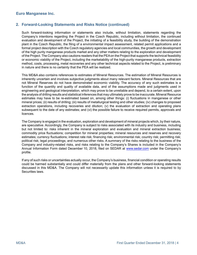# **2. Forward-Looking Statements and Risks Notice (continued)**

Such forward-looking information or statements also include, without limitation, statements regarding the Company's intentions regarding the Project in the Czech Republic, including without limitation, the continued evaluation and development of the Project, the initiating of a feasibility study, the building of the demonstration plant in the Czech Republic, the filing of a environmental impact assessment, related permit applications and a formal project description with the Czech regulatory agencies and local communities, the growth and development of the high purity manganese products market and any other matters relating to the exploration and development of the Project. The Company also cautions readers that the PEA on the Project that supports the technical feasibility or economic viability of the Project, including the marketability of the high-purity manganese products, extraction method, costs, processing, metal recoveries and any other technical aspects related to the Project, is preliminary in nature and there is no certainty that the PEA will be realized.

This MD&A also contains references to estimates of Mineral Resources. The estimation of Mineral Resources is inherently uncertain and involves subjective judgments about many relevant factors. Mineral Resources that are not Mineral Reserves do not have demonstrated economic viability. The accuracy of any such estimates is a function of the quantity and quality of available data, and of the assumptions made and judgments used in engineering and geological interpretation, which may prove to be unreliable and depend, to a certain extent, upon the analysis of drilling results and statistical inferences that may ultimately prove to be inaccurate. Mineral Resource estimates may have to be re-estimated based on, among other things: (i) fluctuations in manganese or other mineral prices; (ii) results of drilling; (iii) results of metallurgical testing and other studies; (iv) changes to proposed extraction operations, including recoveries and dilution; (v) the evaluation of extraction and operating plans subsequent to the date of any estimates; and (vi) the possible failure to receive required permits, approvals and licences.

The Company is engaged in the evaluation, exploration and development of mineral projects which, by their nature, are speculative. Accordingly, the Company is subject to risks associated with its industry and business, including but not limited to: risks inherent in the mineral exploration and evaluation and mineral extraction business; commodity price fluctuations; competition for mineral properties; mineral resources and reserves and recovery estimates; currency fluctuations; interest rate risk; financing risk; environmental risk; country risk; permitting risk; political risk; legal proceedings; and numerous other risks. A summary of the risks relating to the business of the Company and industry-related risks, and risks relating to the Company's Shares is included in the Company's Annual Information Form dated December 10, 2018, filed on SEDAR at [www.sedar.com](http://www.sedar.com) under the Company's profile.

If any of such risks or uncertainties actually occur, the Company's business, financial condition or operating results could be harmed substantially and could differ materially from the plans and other forward-looking statements discussed in this MD&A. The Company will not necessarily update this information unless it is required to by Securities laws.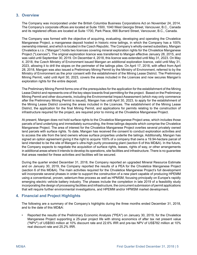# <span id="page-4-0"></span>**3. Overview**

The Company was incorporated under the British Columbia Business Corporations Act on November 24, 2014. The Company's corporate offices are located at Suite 1500, 1040 West Georgia Street, Vancouver, B.C., Canada and its registered offices are located at Suite 1700, Park Place, 666 Burrard Street, Vancouver, B.C., Canada.

The Company was formed with the objective of acquiring, evaluating, developing and operating the Chvaletice Manganese Project, a manganese deposit hosted in historic mine tailings, in which the Company has a 100% ownership interest, and which is located in the Czech Republic. The Company's wholly-owned subsidiary, Mangan Chvaletice s.r.o. ("Mangan") holds two licences covering mineral exploration rights for the Chvaletice Manganese Project ("Licences"). The original exploration licence was transferred to Mangan effective January 28, 2015, and was valid until September 30, 2019. On December 4, 2018, this licence was extended until May 31, 2023. On May 4, 2018, the Czech Ministry of Environment issued Mangan an additional exploration licence, valid until May 31, 2023, allowing it to drill the slopes on the perimeter of the tailings piles. On April 17, 2018, with effect from April 28, 2018, Mangan was also issued a Preliminary Mining Permit by the Ministry of Environment, referred to by the Ministry of Environment as the prior consent with the establishment of the Mining Lease District. The Preliminary Mining Permit, valid until April 30, 2023, covers the areas included in the Licences and now secures Mangan's exploration rights for the entire deposit.

The Preliminary Mining Permit forms one of the prerequisites for the application for the establishment of the Mining Lease District and represents one of the key steps towards final permitting for the project. Based on the Preliminary Mining Permit and other documents, including the Environmental Impact Assessment (which may only commence after the Preliminary Mining Permit is issued), Mangan has until April 30, 2023, to apply for the establishment of the Mining Lease District covering the areas included in the Licences. The establishment of the Mining Lease District, the application for the final Mining Permit, and applications for permits relating to the construction of infrastructure required for the project, are required prior to mining at the Chvaletice Manganese Project.

At present, Mangan does not hold surface rights to the Chvaletice Manganese Project area, which includes those parcels of land underlying and immediately surrounding, the three tailings deposits which comprise the Chvaletice Manganese Project. The area of interest for the Chvaletice Manganese Project overlies several privately owned land parcels with surface rights. To date, Mangan has received the consent to conduct exploration activities and to access the site from the land owners whose surface properties underlie the tailings. Additionally, Mangan has signed an option agreement giving it the right to acquire 100% of a company that owns a 19.94-hectare parcel of land intended to be the site of Mangan's ultra-high purity processing plant (section 6 of this MD&A). In the future, the Company expects to negotiate the acquisition of surface rights, leases, rights of way, or other arrangements in additional areas where it intends to develop its operations, site facilities and infrastructure. There is no guarantee that areas needed for these activities and facilities will be secured.

During the quarter ended December 31, 2018, the Company reported an upgraded Mineral Resource Estimate and on January 30, 2019, the Company reported the results of a PEA for the Chvaletice Manganese Project (section 6 of this MD&A). The main activities required for the Chvaletice Manganese Project's full development will incorporate several phases in order to support the construction of a new plant capable of producing HPEMM using a conventional, proven, selenium-free process as well as HPMSM, focusing principally on Europe's rapidly emerging electric vehicle battery industry. The phases include the completion in late 2019 of a feasibility study incorporating the design of processing facilities and infrastructure, the concurrent submission of permit applications that will require further environmental investigations, and HPEMM and/or HPMSM market development.

# **4. Financial and Project Highlights**

The following are a summary of the Company's highlights during the three months ended December 31, 2018, and to the date of this MD&A:

• Reported the results of the Preliminary Economic Analysis ("PEA") on January 30, 2019, for the Chvaletice Manganese Project supporting a 25-year project life with strong economics of after tax net present value ("NPV") of US\$593 million at 10% discount rate and 22.6% IRR and pre-tax NPV of US\$782 million at 10% real discount rate and 25.2% IRR.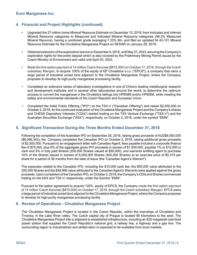# <span id="page-5-0"></span>**4. Financial and Project Highlights (continued)**

- Upgraded the 27 million tonne Mineral Resource Estimate on December 12, 2018, from Indicated and Inferred Mineral Resource categories to Measured and Indicated Mineral Resource categories (98.3% Measured Mineral Reource), having a combined grade averaging 7.33% Mn, and filed an updated NI 43-101 Mineral Resource Estimate for the Chvaletice Manganese Project on SEDAR on January 28, 2019.
- Obtained extension of the exploration licence on December 4, 2018, until May 31, 2023, securing the Company's exploration rights for the entire deposit which is also covered by the Preliminary Mining Permit issued by the Czech Ministry of Environment and valid until April 30, 2023.
- Made the first option payment of 14 million Czech Korunas (\$815,000) on October 17, 2018, through the Czech subsidiary Mangan, to acquire 100% of the equity of EP Chvaletice s.r.o. ("EPCS"), a company that owns a large parcel of industrial zoned land adjacent to the Chvaletice Manganese Project, where the Company proposes to develop its high-purity manganese processing facility.
- Completed an extensive series of laboratory investigations in one of China's leading metallurgical research and development institutes and in several other laboratories around the world, to determine the optimum process to convert the manganese in the Chvaletice tailings into HPEMM and/or HPMSM, while meeting the safety and environmental standards of the Czech Republic and European Union.
- Completed the Initial Public Offering ("IPO") on the TSX-V ("Canadian Offering") and raised \$2,500,000 on October 2, 2018, for the continued evaluation of the Chvaletice Manganese Project and the Company's shares and CHESS Depository Interests ("CDIs") started trading on the TSX Venture Exchange ("TSX-V") and the Australian Securities Exchange ("ASX"), respectively, on October 2, 2018, under the symbol "EMN".

# **5. Significant Transaction During the Three Months Ended December 31, 2018**

Following the completion of the Australian IPO on September 28, 2018, raising gross proceeds of AUD\$6,500,000 (\$6,066,342), the Company completed the Canadian IPO on October 2, 2018, raising additional gross proceeds of \$2,500,000. Pursuant to an engagement letter with Canadian Agent, fees payable included a corporate finance fee of \$70,000, plus 6% of the aggregate gross IPO proceeds in excess of \$1,500,000, payable 1% or \$10,000 in cash and 5% in fully paid Shares (200,000 Shares valued at \$50,000), and warrants entitling agent to purchase 10% of the Shares issued in excess of 6,000,000 Shares (400,000 Shares) at an exercise price of \$0.375 per share for a period of 36 months from the date of issue (the "Canadian Agent's Warrant").

The expenses related to the Canadian IPO, including the \$10,000 cash fee, the \$50,000 value attributed to the 200,000 Shares and the \$48,890 value attributed to the Canadian Agent's Warrants were applied against the gross proceeds. Upon completion of the Canadian IPO, on October 2, 2018, the Company's CDIs and Shares commenced trading on the ASX and TSX-V, respectively, under the Symbol "EMN".

Pursuant to the option agreement to acquire 100% equity of EPCS, the Company made the first option payment of 14 million Czech Korunas (\$815,000) on October 17, 2018, through the Czech subsidiary Mangan. EPCS owns a large parcel of industrial zoned land adjacent to the Chvaletice Manganese Project, where the Company proposes to develop its high-purity manganese processing facility.

### **6. Review of Operations - Chvaletice Manganese Project**

The Chvaletice Manganese Project is located in the Czech Republic, within the townships of Chvaletice and Trnavka, in the Labe River valley. The Czech capital city of Prague is located 90 kilometres to the west. The Chvaletice Manganese Project site is adjacent to established infrastructure, including an 820-megawatt coal-fired power station that supplies the Czech Republic's national grid, a railway line, a highway and a gas line. The surrounding region is industrialized and skilled labor is expected to be available from local markets.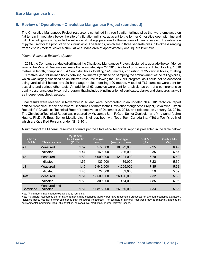# **6. Review of Operations - Chvaletice Manganese Project (continued)**

The Chvaletice Manganese Project resource is contained in three flotation tailings piles that were emplaced on flat terrain immediately below the site of a flotation mill site, adjacent to the former Chvaletice open pit mine and mill. The tailings were deposited from historical milling operations for the recovery of manganese and the extraction of pyrite used for the production of sulfuric acid. The tailings, which are in three separate piles in thickness ranging from 12 to 28 meters, cover a cumulative surface area of approximately one square kilometre.

#### *Mineral Resource Estimate Update*

In 2018, the Company conducted drilling at the Chvaletice Manganese Project, designed to upgrade the confidence level of the Mineral Resource estimate that was dated April 27, 2018. A total of 80 holes were drilled, totalling 1,510 metres in length, comprising: 54 Sonic drill holes totalling 1410 metres, consisting of 35 vertical holes, totalling 661 metres, and 19 inclined holes, totalling 749 metres (focused on sampling the embankment of the tailings piles, which was largely classified as an inferred resource following the 2017 drill program, as it could not be accessed using vertical drill holes); and 26 hand-auger holes, totalling 100 metres. A total of 767 samples were sent for assaying and various other tests. An additional 63 samples were sent for analysis, as part of a comprehensive quality assurance/quality control program, that included blind insertion of duplicates, blanks and standards, as well as independent check assays.

Final results were received in November 2018 and were incorporated in an updated NI 43:101 technical report entitled "Technical Report and Mineral Resource Estimate for the Chvaletice Manganese Project, Chvaletice, Czech Republic" ("Chvaletice Technical Report") effective as of December 8, 2018, and released on January 28, 2019. The Chvaletice Technical Report was prepared by Mr. James Barr, P. Geo, Senior Geologist, and Mr. Jianhui (John) Huang, Ph.D., P. Eng., Senior Metallurgical Engineer, both with Tetra Tech Canada Inc. ("Tetra Tech"), both of which are Qualified Persons under NI 43-101.

| <b>Tailings</b><br>Cell $#$ | Classification            | Dry In-situ<br><b>Bulk Density</b><br>$(\mathsf{t}/\mathsf{m}^3)$ | Volume<br>$\rm (m^3)$ | Tonnage<br>(metric tonnes) | Total Mn<br>$(\% )$ | Soluble Mn<br>$(\% )$ |
|-----------------------------|---------------------------|-------------------------------------------------------------------|-----------------------|----------------------------|---------------------|-----------------------|
| #1                          | Measured                  | 1.52                                                              | 6,577,000             | 10,029,000                 | 7.95                | 6.49                  |
|                             | Indicated                 | 1.47                                                              | 160,000               | 236,000                    | 8.35                | 6.67                  |
| #2                          | Measured                  | 1.53                                                              | 7,990,000             | 12,201,000                 | 6.79                | 5.42                  |
|                             | Indicated                 | 1.55                                                              | 123,000               | 189,000                    | 7.22                | 5.30                  |
| #3                          | Measured                  | 1.45                                                              | 2,942,000             | 4,265,000                  | 7.35                | 5.63                  |
|                             | Indicated                 | 1.45                                                              | 27,000                | 39,000                     | 7.9                 | 5.89                  |
| Total                       | Measured                  | 1.51                                                              | 17,509,000            | 26,496,000                 | 7.32                | 5.86                  |
|                             | Indicated                 | 1.50                                                              | 309,000               | 464,000                    | 7.85                | 6.05                  |
| Combined                    | Measured and<br>Indicated | 1.51                                                              | 17,818,000            | 26,960,000                 | 7.33                | 5.86                  |

A summary of the Mineral Resource Estimate per the Chvaletice Technical Report is presented in the table below:

Note <sup>(1)</sup>: Numbers may not add exactly due to rounding.

Note <sup>(2)</sup>: Mineral Resources do not have demonstrated economic viability but have reasonable prospects for eventual economic extraction. Indicated Resources have lower confidence than Measured Resources. The estimate of Mineral Resources may be materially affected by environmental, permitting, legal, title, taxation, sociopolitical, marketing, or other relevant issues.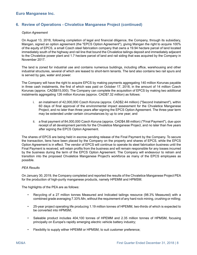# **6. Review of Operations - Chvaletice Manganese Project (continued)**

#### *Option Agreement*

On August 13, 2018, following completion of legal and financial diligence, the Company, through its subsidiary, Mangan, signed an option agreement (the "EPCS Option Agreement"), giving Mangan the right to acquire 100% of the equity of EPCS, a small Czech steel fabrication company that owns a 19.94 hectare parcel of land located immediately south of the highway and rail line that bound the Chvaletice tailings deposit and immediately adjacent to the Chvaletice power plant and 1.7 hectare parcel of land and rail siding that was acquired by the Company in November 2017.

The land is zoned for industrial use and contains numerous buildings, including office, warehousing and other industrial structures, several of which are leased to short-term tenants. The land also contains two rail spurs and is served by gas, water and power.

The Company will have the right to acquire EPCS by making payments aggregating 140 million Korunas payable in three cash instalments, the first of which was paid on October 17, 2018, in the amount of 14 million Czech Korunas (approx. CAD\$815,000). The Company can complete the acquisition of EPCS by making two additional instalments aggregating 126 million Korunas (approx. CAD\$7.32 million) as follows:

- i. an instalment of 42,000,000 Czech Koruna (approx. CAD\$2.44 million) ("Second Instalment"), within 60 days of final approval of the environmental impact assessment for the Chvaletice Manganese Project, and no later than three years after signing the EPCS Option Agreement. The three-year term may be extended under certain circumstances by up to one year; and
- ii. a final payment of 84,000,000 Czech Koruna (approx. CAD\$4.88 million) ("Final Payment"), due upon receipt of all development permits for the Chvaletice Manganese Project, and no later than five years after signing the EPCS Option Agreement.

The shares of EPCS are being held in escrow pending release of the Final Payment by the Company. To secure the transaction, liens have been placed by the Company on the property and shares of EPCS, while the EPCS Option Agreement is in effect. The vendor of EPCS will continue to operate its steel fabrication business until the Final Payment is received, will retain profits from the business and will remain responsible for any losses incurred by the business during the term of the EPCS Option Agreement. The Company will endeavour to retrain and transition into the proposed Chvaletice Manganese Project's workforce as many of the EPCS employees as possible.

#### *PEA Results*

On January 30, 2019, the Company completed and reported the results of the Chvaletice Manganese Project PEA for the production of high-purity manganese products, namely HPEMM and HPMSM.

The highlights of the PEA are as follows:

- Recycling of a 27 million tonnes Measured and Indicated tailings resource (98.3% Measured) with a combined grade averaging 7.33% Mn, without the requirement of any hard rock mining, crushing or milling;
- 25-year project operating life producing 1.19 million tonnes of HPEMM, two-thirds of which is expected to be converted into HPMSM;
- Saleable product includes 404,100 tonnes of HPEMM and 2.35 million tonnes of HPMSM, focusing principally on Europe's rapidly emerging electric vehicle battery industry;
- Flexibility to supply either HPEMM or HPMSM, to suit customer preference;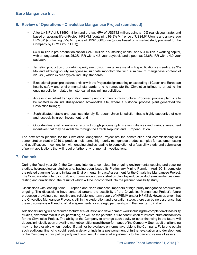# <span id="page-8-0"></span>**6. Review of Operations - Chvaletice Manganese Project (continued)**

- After tax NPV of US\$593 million and pre-tax NPV of US\$782 million, using a 10% real discount rate, and based on average life-of-Project HPEMM (containing 99.9% Mn) price of US\$4,617/tonne and an average HPMSM (containing 32% Mn) price of US\$2,666/tonne (prices based on a market study prepared for the Company by CPM Group LLC);
- \$404 million in pre-production capital, \$24.8 million in sustaining capital, and \$31 million in working capital, with an ungeared, pre-tax 25.2% IRR with a 4.5-year payback, and a post-tax 22.6% IRR with a 4.9-year payback;
- Targeting production of ultra-high-purity electrolytic manganese metal with specifications exceeding 99.9% Mn and ultra-high-purity manganese sulphate monohydrate with a minimum manganese content of 32.34%, which exceed typical industry standards;
- Exceptional green project credentials with the Project design meeting or exceeding all Czech and European health, safety and environmental standards, and to remediate the Chvaletice tailings to arresting the ongoing pollution related to historical tailings mining activities;
- Access to excellent transportation, energy and community infrastructure. Proposed process plant site to be located in an industrially-zoned brownfields site, where a historical process plant generated the Chvaletice tailings;
- Sophisticated, stable and business-friendly European Union jurisdiction that is highly supportive of new and, especially, green investment; and
- Opportunities exist to enhance returns through process optimization initiatives and various investment incentives that may be available through the Czech Republic and European Union.

The next steps planned for the Chvaletice Manganese Project are the construction and commissioning of a demonstration plant in 2019 to produce multi-tonne, high-purity manganese product samples for customer testing and qualification, in conjunction with ongoing studies leading to completion of a feasibility study and submission of permit applications that will require further environmental investigations.

# **7. Outlook**

During the fiscal year 2019, the Company intends to complete the ongoing environmental scoping and baseline studies, hydrogeological studies and, having been issued its Preliminary Mining Permit in April 2018, complete the related planning for, and initiate an Environmental Impact Assessment for the Chvaletice Manganese Project. The Company also intends to build and commission a demonstration plant to produce product samples for customer testing and qualification, the result of which will be incorporated into the planned feasibility study.

Discussions with leading Asian, European and North American importers of high-purity manganese products are ongoing. The discussions have centered around the possibility of the Chvaletice Manganese Project's future production providing a competitive and reliable long-term supply of HPEMM and/or HPMSM. However, given that the Chvaletice Manganese Project is still in the exploration and evaluation stage, there can be no assurance that these discussions will lead to offtake agreements, or strategic partnerships in the near term, if at all.

Additional funding will be required for further evaluation and development work including the completion of feasibility studies, environmental studies, permitting, as well as the potential future construction of infrastructure and facilities for the Chvaletice Project. The ability of the Company to arrange such equity or other financing in the future will depend principally upon prevailing market conditions and the performance of the Company. Such additional funding may not be available when needed, if at all, or be available on terms favorable to the Company. Failure to obtain such additional financing could result in delay or indefinite postponement of further evaluation and development of the Company's principal property and could result in material adjustments to the carrying values of assets.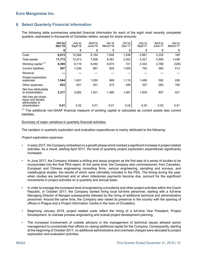# <span id="page-9-0"></span>**8. Select Quarterly Financial Information**

The following table summarizes selected financial information for each of the eight most recently completed quarters, expressed in thousands of Canadian dollars, except for share amounts:

|                                                                              | Oct to<br>Dec'18 | July to<br>Sept'18 | April to<br>June'18 | Jan to<br>March'18 | Oct to<br>Dec'17 | July to<br>Sept'17 | April to<br>June'17 | Jan to<br>March'17 |
|------------------------------------------------------------------------------|------------------|--------------------|---------------------|--------------------|------------------|--------------------|---------------------|--------------------|
|                                                                              | \$               | \$                 | \$                  | \$                 | \$               | \$                 | \$                  | \$                 |
| Cash                                                                         | 9,013            | 10,368             | 6,194               | 7,648              | 1,536            | 2,861              | 3,335               | 185                |
| Total assets                                                                 | 11,773           | 12,273             | 7,928               | 9,381              | 3,302            | 4,321              | 4,595               | 1,438              |
| Working capital <sup>(1)</sup>                                               | 8,385            | 9,119              | 5,450               | 6,973              | 721              | 2,333              | 2,768               | (328)              |
| <b>Current liabilities</b>                                                   | 957              | 1,536              | 891                 | 825                | 1,005            | 730                | 569                 | 513                |
| Revenue                                                                      |                  |                    |                     |                    |                  |                    |                     |                    |
| Project exploration<br>expenses                                              | 1,544            | 1,451              | 1,050               | 969                | 1,119            | 1,488              | 592                 | 226                |
| Other expenses                                                               | 833              | 631                | 451                 | 515                | 348              | 347                | 265                 | 195                |
| Net loss attributable<br>to shareholders                                     | 2,377            | 2,082              | 1,501               | 1,485              | 1,467            | 1,835              | 857                 | 421                |
| Net loss per share,<br>basic and diluted.<br>attributable to<br>shareholders | 0.01             | 0.02               | 0.01                | 0.01               | 0.02             | 0.03               | 0.02                | 0.01               |

 $<sup>(1)</sup>$  The additional non-GAAP financial measure of working capital is calculated as current assets less current</sup> **liabilities** 

#### Summary of major variations in quarterly financial activities:

The variation in quarterly exploration and evaluation expenditures is mainly attributed to the following:

#### *Project exploration expenses*

- In early 2017, the Company embarked on a growth phase which marked a significant increase in project related activities. As a result, starting April 2017, the level of quarterly project exploration expenditures significantly increased.
- In June 2017, the Company initiated a drilling and assay program as the first step of a series of studies to be incorporated into the final PEA report. At the same time, the Company also commissioned, from Canadian, European and Chinese engineering consulting firms, various engineering, sampling and surveys, and metallurgical studies, the results of which were ultimately included in the PEA. The timing during the year, when studies are performed and or when milestones payments become due, account for the significant movements in project activities on a quarterly and annual basis.
- In order to manage the increased level of engineering consultants and other project activities within the Czech Republic, in October 2017, the Company started hiring local full-time personnel, starting with a full-time Managing Director of Mangan subsequently followed by the hiring of additional technical and administrative personnel. Around the same time, the Company also raised its presence in the country with the opening of offices in Prague and a Project Information Centre in the town of Chvaletice.
- Beginning January 2018, project related costs reflect the hiring of a full-time Vice President, Project Development, to oversee process engineering and overall project development planning.
- The increased involvement of outside advisors in the management of technical issues allowed senior management to concentrate their efforts on raising additional capital for the Company. Consequently, starting at the beginning of October 2017, no additional administrative and overhead charges were allocated to project exploration and evaluation activities.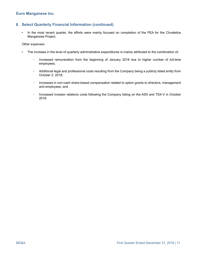# **8. Select Quarterly Financial Information (continued)**

• In the most recent quarter, the efforts were mainly focused on completion of the PEA for the Chvaletice Manganese Project.

#### *Other expenses*

- The increase in the level of quarterly administrative expenditures is mainly attributed to the combination of:
	- Increased remuneration from the beginning of January 2018 due to higher number of full-time employees;
	- Additional legal and professional costs resulting from the Company being a publicly listed entity from October 2, 2018;
	- Increases in non-cash share-based compensation related to option grants to directors, management and employees, and
	- Increased investor relations costs following the Company listing on the ASX and TSX-V in October 2018.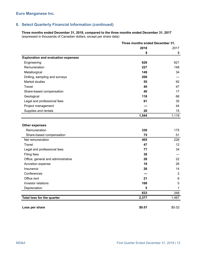# **8. Select Quarterly Financial Information (continued)**

**Three months ended December 31, 2018, compared to the three months ended December 31, 2017** (expressed in thousands of Canadian dollars, except per share data)

|                                                         |        | Three months ended December 31, |  |  |
|---------------------------------------------------------|--------|---------------------------------|--|--|
|                                                         | 2018   | 2017                            |  |  |
|                                                         | \$     | \$                              |  |  |
| <b>Exploration and evaluation expenses</b>              |        |                                 |  |  |
| Engineering                                             | 626    | 621                             |  |  |
| Remuneration                                            | 227    | 148                             |  |  |
| Metallurgical                                           | 149    | 34                              |  |  |
| Drilling, sampling and surveys                          | 208    |                                 |  |  |
| Market studies                                          | 55     | 92                              |  |  |
| Travel                                                  | 40     | 47                              |  |  |
| Share-based compensation                                | 40     | 17                              |  |  |
| Geological                                              | 118    | 66                              |  |  |
| Legal and professional fees                             | 61     | 35                              |  |  |
| Project management                                      |        | 44                              |  |  |
| Supplies and rentals                                    | 20     | 15                              |  |  |
|                                                         | 1,544  | 1,119                           |  |  |
| <b>Other expenses</b><br>Remuneration                   | 330    | 175                             |  |  |
|                                                         | 75     | 51                              |  |  |
| Share-based compensation<br>Net remuneration            | 405    | 226                             |  |  |
| Travel                                                  | 47     | 12                              |  |  |
|                                                         | 77     | 34                              |  |  |
| Legal and professional fees                             | 38     |                                 |  |  |
| Filing fees                                             | 28     | 22                              |  |  |
| Office, general and administrative<br>Accretion expense | 18     | 26                              |  |  |
| Insurance                                               | 26     | 14                              |  |  |
| Conferences                                             |        | $\overline{2}$                  |  |  |
| Office rent                                             | 21     | $\,6$                           |  |  |
|                                                         | 168    | 5                               |  |  |
| Investor relations                                      | 5      | 1                               |  |  |
| Depreciation                                            | 833    | 348                             |  |  |
| Total loss for the quarter                              | 2,377  | 1,467                           |  |  |
|                                                         |        |                                 |  |  |
| Loss per share                                          | \$0.01 | \$0.02                          |  |  |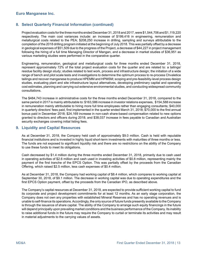# <span id="page-12-0"></span>**8. Select Quarterly Financial Information (continued)**

Project evaluation costs for the three months ended December 31, 2018 and 2017, were \$1,544,706 and \$1,119,220 respectively. The main cost variances include: an increase of \$199,416 in engineering, remuneration and metallurgical costs related to the PEA; \$208,250 increase in drilling, sampling and surveys attributable to the completion of the 2018 drilling program initiated at the beginning of July 2018. This was partially offset by a decrease in geological expenses of \$51,509 due to the progress of the Project, a decrease of \$44,227 in project management following the hiring of a full time Managing Director of Mangan, and a decrease in market studies of \$36,951 as various marketing studies were performed in the comparative quarter.

Engineering, remuneration, geological and metallurgical costs for three months ended December 31, 2018, represent approximately 72% of the total project evaluation costs for the quarter and are related to: a tailings/ residue facility design study; studies related to test work, process and infrastructure design; the initiation of a wide range of bench and pilot scale tests and investigations to determine the optimum process to re-process Chvaletice tailings and recover manganese to produce HPEMM and HPMSM; scoping and pre-feasibility-level process design studies, evaluating plant and site infrastructure layout alternatives, developing preliminary capital and operating cost estimates, planning and carrying out extensive environmental studies, and conducting widespread community consultations.

The \$484,743 increase in administrative costs for the three months ended December 31, 2018, compared to the same period in 2017 is mainly attributable to: \$163,586 increase in investor relations expenses, \$154,588 increase in remuneration mainly attributable to hiring more full time employees rather than engaging consultants; \$40,000 in quarterly directors' fees paid, first implemented in the quarter ended March 31, 2018; \$70,000 to the first annual bonus paid in December 2018; \$24,169 increase in non-cash share-based compensation related to new options granted to directors and officers during 2018; and \$38,037 increase in fees payable to Canadian and Australian security exchanges covering initial listing fees.

### **9. Liquidity and Capital Resources**

As at December 31, 2018, the Company held cash of approximately \$9.0 million. Cash is held with reputable financial institutions and is invested in highly liquid short-term investments with maturities of three months or less. The funds are not exposed to significant liquidity risk and there are no restrictions on the ability of the Company to use these funds to meet its obligations.

Cash decreased by \$1.4 million during the three months ended December 31, 2018, primarily due to cash used in operating activities of \$2.6 million and cash used in investing activities of \$0.8 million, representing mainly the payment of the first tranche of the EPCS Option. This was partially offset by the proceeds from the Canadian Offering, which raised \$2.5 million, less cash expenses of \$0.4 million.

As at December 31, 2018, the Company had working capital of \$8.4 million, which compares to working capital at September 30, 2018, of \$9.1 million. The decrease in working capital was due to operating expenditures and the first EPCS Option payment, offset by the proceeds from the Canadian IPO, as described above.

The Company's capital resources at December 31, 2018, are expected to provide sufficient working capital to fund its corporate and project development commitments for at least 12 months. As an early stage corporation, the Company does not own any properties with established Mineral Reserves and has no operating revenues and is unable to self-finance its operations. Accordingly, the only source of future funds presently available to the Company is through the issuance of share capital. The ability of the Company to arrange such equity financings in the future will depend principally upon prevailing market conditions and the business performance of the Company. Its inability to raise additional funds in the future may require the Company to curtail or terminate its activities and may result in material adjustments to the carrying values of assets.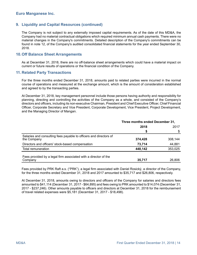### <span id="page-13-0"></span>**9. Liquidity and Capital Resources (continued)**

The Company is not subject to any externally imposed capital requirements. As of the date of this MD&A, the Company had no material contractual obligations which required minimum annual cash payments. There were no material changes in the Company's commitments. Detailed description of the Company's commitments can be found in note 12, of the Company's audited consolidated financial statements for the year ended September 30, 2018.

### **10.Off Balance Sheet Arrangements**

As at December 31, 2018, there are no off-balance sheet arrangements which could have a material impact on current or future results of operations or the financial condition of the Company.

### **11. Related Party Transactions**

For the three months ended December 31, 2018, amounts paid to related parties were incurred in the normal course of operations and measured at the exchange amount, which is the amount of consideration established and agreed to by the transacting parties.

At December 31, 2018, key management personnel include those persons having authority and responsibility for planning, directing and controlling the activities of the Company as a whole, and consisted of the Company's directors and officers, including its non-executive Chairman, President and Chief Executive Officer, Chief Financial Officer, Corporate Secretary and Vice President, Corporate Development, Vice President, Project Development, and the Managing Director of Mangan.

|                                                                                  | Three months ended December 31, |         |
|----------------------------------------------------------------------------------|---------------------------------|---------|
|                                                                                  | 2018                            | 2017    |
|                                                                                  | S                               | \$      |
| Salaries and consulting fees payable to officers and directors of<br>the Company | 374,428                         | 308,144 |
| Directors and officers' stock-based compensation                                 | 73.714                          | 44,881  |
| Total remuneration                                                               | 448,142                         | 353,025 |
| Fees provided by a legal firm associated with a director of the<br>Company       | 35,717                          | 26,806  |

Fees provided by PRK Raft a.s. ("PRK"), a legal firm associated with Daniel Rosický, a director of the Company, for the three months ended December 31, 2018 and 2017 amounted to \$35,717 and \$26,806, respectively.

At December 31, 2018, amounts owing to directors and officers of the Company for salaries and directors fees amounted to \$41,114 (December 31, 2017 - \$64,895) and fees owing to PRK amounted to \$14,074 (December 31, 2017 - \$237,246). Other amounts payable to officers and directors at December 31, 2018 for the reimbursement of travel related expenses were \$5,181 (December 31, 2017 - \$18,498).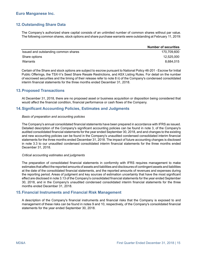# <span id="page-14-0"></span>**12.Outstanding Share Data**

The Company's authorized share capital consists of an unlimited number of common shares without par value. The following common shares, stock options and share purchase warrants were outstanding at February 11, 2019:

|                                      | <b>Number of securities</b> |
|--------------------------------------|-----------------------------|
| Issued and outstanding common shares | 170.709.600                 |
| Share options                        | 12.525.000                  |
| Warrants                             | 8.684.015                   |

Certain of the Share and stock options are subject to escrow pursuant to National Policy 46-201 - Escrow for Initial Public Offerings, the TSX-V's Seed Share Resale Restrictions, and ASX Listing Rules. For detail on the number of escrowed securities and the timing of their release refer to note 8 ii) of the Company's condensed consolidated interim financial statements for the three months ended December 31, 2018.

### **13.Proposed Transactions**

At December 31, 2018, there are no proposed asset or business acquisition or disposition being considered that would affect the financial condition, financial performance or cash flows of the Company.

### **14.Significant Accounting Policies, Estimates and Judgments**

#### *Basis of preparation and accounting policies*

The Company's annual consolidated financial statements have been prepared in accordance with IFRS as issued. Detailed description of the Company's significant accounting policies can be found in note 3, of the Company's audited consolidated financial statements for the year ended September 30, 2018, and and changes to the existing and new accounting policies can be found in the Company's unaudited condensed consolidated interim financial statements for the three months ended December 31, 2018. The impact of future accounting changes is disclosed in note 3.3 to our unaudited condensed consolidated interim financial statements for the three months ended December 31, 2018.

#### *Critical accounting estimates and judgments*

The preparation of consolidated financial statements in conformity with IFRS requires management to make estimates that affect the reported amounts of assets and liabilities and disclosures of contingent assets and liabilities at the date of the consolidated financial statements, and the reported amounts of revenues and expenses during the reporting period. Areas of judgment and key sources of estimation uncertainty that have the most significant effect are disclosed in note 3.13 of the Company's consolidated financial statements for the year ended September 30, 2018, and in the Company's unaudited condensed consolidated interim financial statements for the three months ended December 31, 2018.

#### **15.Financial Instruments and Financial Risk Management**

A description of the Company's financial instruments and financial risks that the Company is exposed to and management of these risks can be found in notes 9 and 10, respectively, of the Company's consolidated financial statements for the year ended September 30, 2018.